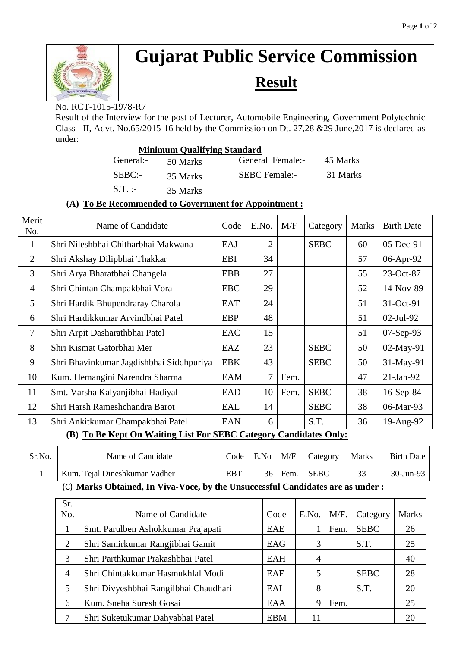

# **Gujarat Public Service Commission**

## **Result**

No. RCT-1015-1978-R7

Result of the Interview for the post of Lecturer, Automobile Engineering, Government Polytechnic Class - II, Advt. No.65/2015-16 held by the Commission on Dt. 27,28 &29 June,2017 is declared as under:

| <b>Minimum Qualifying Standard</b> |          |                      |          |  |  |  |  |
|------------------------------------|----------|----------------------|----------|--|--|--|--|
| General:-                          | 50 Marks | General Female:-     | 45 Marks |  |  |  |  |
| $SEBC$ :-                          | 35 Marks | <b>SEBC</b> Female:- | 31 Marks |  |  |  |  |
| $S.T.$ :                           | 35 Marks |                      |          |  |  |  |  |

### **(A) To Be Recommended to Government for Appointment :**

| Merit<br>No.                                                                                                        | Name of Candidate                        | Code       | E.No.          | M/F  | Category    | <b>Marks</b> | <b>Birth Date</b> |
|---------------------------------------------------------------------------------------------------------------------|------------------------------------------|------------|----------------|------|-------------|--------------|-------------------|
| 1                                                                                                                   | Shri Nileshbhai Chitharbhai Makwana      | EAJ        | $\overline{2}$ |      | <b>SEBC</b> | 60           | 05-Dec-91         |
| 2                                                                                                                   | Shri Akshay Dilipbhai Thakkar            | <b>EBI</b> | 34             |      |             | 57           | 06-Apr-92         |
| 3                                                                                                                   | Shri Arya Bharatbhai Changela            | <b>EBB</b> | 27             |      |             | 55           | 23-Oct-87         |
| $\overline{4}$                                                                                                      | Shri Chintan Champakbhai Vora            | <b>EBC</b> | 29             |      |             | 52           | 14-Nov-89         |
| 5                                                                                                                   | Shri Hardik Bhupendraray Charola         | <b>EAT</b> | 24             |      |             | 51           | 31-Oct-91         |
| 6                                                                                                                   | Shri Hardikkumar Arvindbhai Patel        | <b>EBP</b> | 48             |      |             | 51           | $02$ -Jul-92      |
| 7                                                                                                                   | Shri Arpit Dasharathbhai Patel           | EAC        | 15             |      |             | 51           | 07-Sep-93         |
| 8                                                                                                                   | Shri Kismat Gatorbhai Mer                | EAZ        | 23             |      | <b>SEBC</b> | 50           | 02-May-91         |
| 9                                                                                                                   | Shri Bhavinkumar Jagdishbhai Siddhpuriya | <b>EBK</b> | 43             |      | <b>SEBC</b> | 50           | 31-May-91         |
| 10                                                                                                                  | Kum. Hemangini Narendra Sharma           | EAM        | 7              | Fem. |             | 47           | $21-Jan-92$       |
| 11                                                                                                                  | Smt. Varsha Kalyanjibhai Hadiyal         | <b>EAD</b> | 10             | Fem. | <b>SEBC</b> | 38           | 16-Sep-84         |
| 12                                                                                                                  | Shri Harsh Rameshchandra Barot           | EAL        | 14             |      | <b>SEBC</b> | 38           | 06-Mar-93         |
| 13                                                                                                                  | Shri Ankitkumar Champakbhai Patel        | <b>EAN</b> | 6              |      | S.T.        | 36           | 19-Aug-92         |
| $(D)$ $T_2$ $D_2$ $K$ ant $\Omega$ <sub>p</sub> $W_2$ iting I ist $\Gamma$ an CEDC Cotegory Condidates $\Omega$ ply |                                          |            |                |      |             |              |                   |

### **(B) To Be Kept On Waiting List For SEBC Category Candidates Only:**

| Sr.No. | Name of Candidate                                   | Code | E.No | M/F  | Category    | <b>Marks</b> | Birth Date |
|--------|-----------------------------------------------------|------|------|------|-------------|--------------|------------|
|        | Kum. Tejal Dineshkumar Vadher                       |      | 36   | Fem. | <b>SEBC</b> |              | 30-Jun-93  |
|        | $\sim$ $\sim$ $\sim$ $\sim$<br>$\sim$ $\sim$ $\sim$ |      |      |      |             |              |            |

(C) **Marks Obtained, In Viva-Voce, by the Unsuccessful Candidates are as under :**

| Sr. |                                       |            |       |      |             |              |
|-----|---------------------------------------|------------|-------|------|-------------|--------------|
| No. | Name of Candidate                     | Code       | E.No. | M/F. | Category    | <b>Marks</b> |
|     | Smt. Parulben Ashokkumar Prajapati    | <b>EAE</b> |       | Fem. | <b>SEBC</b> | 26           |
| 2   | Shri Samirkumar Rangjibhai Gamit      | EAG        | 3     |      | S.T.        | 25           |
| 3   | Shri Parthkumar Prakashbhai Patel     | EAH        | 4     |      |             | 40           |
| 4   | Shri Chintakkumar Hasmukhlal Modi     | EAF        | 5     |      | <b>SEBC</b> | 28           |
| 5   | Shri Divyeshbhai Rangilbhai Chaudhari | EAI        | 8     |      | S.T.        | 20           |
| 6   | Kum. Sneha Suresh Gosai               | EAA        | 9     | Fem. |             | 25           |
|     | Shri Suketukumar Dahyabhai Patel      | <b>EBM</b> | 11    |      |             | 20           |